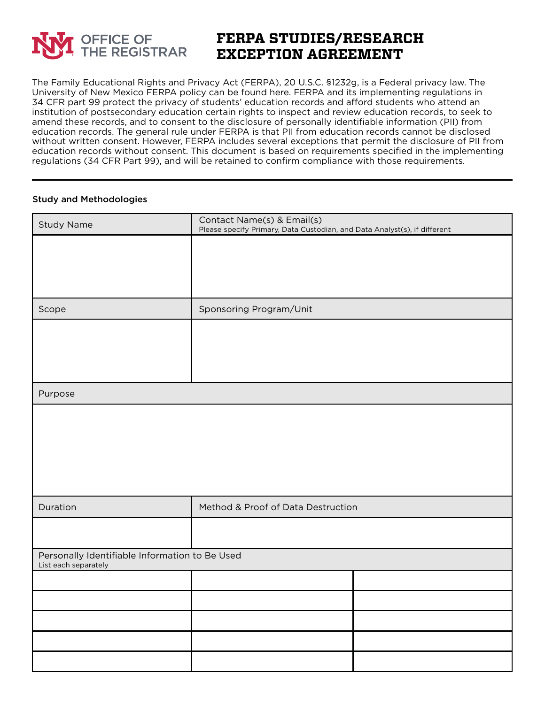

## **FERPA STUDIES/RESEARCH EXCEPTION AGREEMENT**

The Family Educational Rights and Privacy Act (FERPA), 20 U.S.C. §1232g, is a Federal privacy law. The University of New Mexico FERPA policy can be found here. FERPA and its implementing regulations in 34 CFR part 99 protect the privacy of students' education records and afford students who attend an institution of postsecondary education certain rights to inspect and review education records, to seek to amend these records, and to consent to the disclosure of personally identifiable information (PII) from education records. The general rule under FERPA is that PII from education records cannot be disclosed without written consent. However, FERPA includes several exceptions that permit the disclosure of PII from education records without consent. This document is based on requirements specified in the implementing regulations (34 CFR Part 99), and will be retained to confirm compliance with those requirements.

## Study and Methodologies

| <b>Study Name</b>                                                      | Contact Name(s) & Email(s)<br>Please specify Primary, Data Custodian, and Data Analyst(s), if different |  |  |  |
|------------------------------------------------------------------------|---------------------------------------------------------------------------------------------------------|--|--|--|
|                                                                        |                                                                                                         |  |  |  |
|                                                                        |                                                                                                         |  |  |  |
|                                                                        |                                                                                                         |  |  |  |
| Scope                                                                  | Sponsoring Program/Unit                                                                                 |  |  |  |
|                                                                        |                                                                                                         |  |  |  |
|                                                                        |                                                                                                         |  |  |  |
|                                                                        |                                                                                                         |  |  |  |
| Purpose                                                                |                                                                                                         |  |  |  |
|                                                                        |                                                                                                         |  |  |  |
|                                                                        |                                                                                                         |  |  |  |
|                                                                        |                                                                                                         |  |  |  |
|                                                                        |                                                                                                         |  |  |  |
| Duration                                                               | Method & Proof of Data Destruction                                                                      |  |  |  |
|                                                                        |                                                                                                         |  |  |  |
| Personally Identifiable Information to Be Used<br>List each separately |                                                                                                         |  |  |  |
|                                                                        |                                                                                                         |  |  |  |
|                                                                        |                                                                                                         |  |  |  |
|                                                                        |                                                                                                         |  |  |  |
|                                                                        |                                                                                                         |  |  |  |
|                                                                        |                                                                                                         |  |  |  |